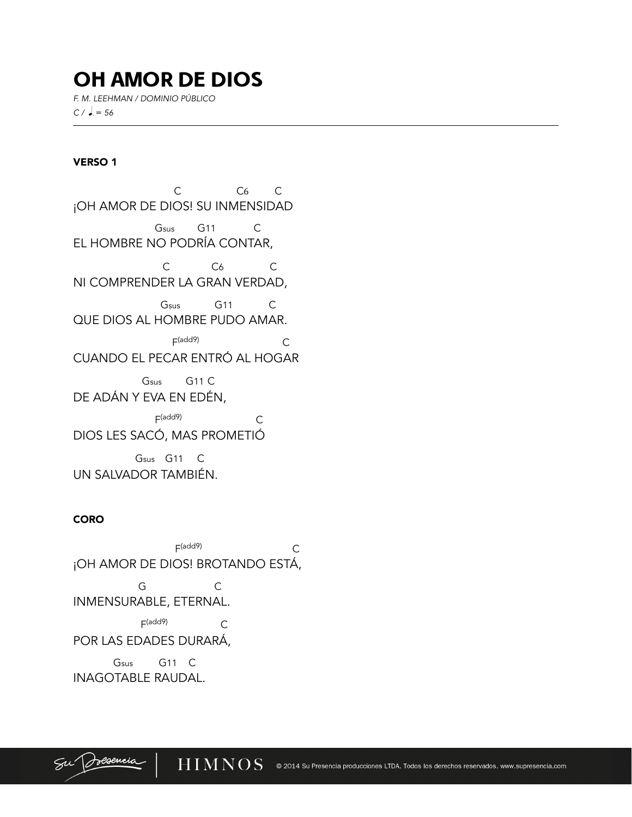# OH AMOR DE DIOS

*F. M. LEEHMAN / DOMINIO PÚBLICO*   $C / \, \bullet = 56$ 

## VERSO 1

l

C C6 C ¡OH AMOR DE DIOS! SU INMENSIDAD Gsus G11 C EL HOMBRE NO PODRÍA CONTAR, C<sub>6</sub> C<sub>6</sub> C<sub>6</sub> NI COMPRENDER LA GRAN VERDAD, Gsus G11 C QUE DIOS AL HOMBRE PUDO AMAR.  $F(\text{add9})$   $C$ CUANDO EL PECAR ENTRÓ AL HOGAR Gsus G11 C DE ADÁN Y EVA EN EDÉN, F(add9) C

DIOS LES SACÓ, MAS PROMETIÓ

 Gsus G11 C UN SALVADOR TAMBIÉN.

## CORO

 $F(\text{add9})$  C ¡OH AMOR DE DIOS! BROTANDO ESTÁ, G C INMENSURABLE, ETERNAL.  $F(\text{add9})$   $C$ POR LAS EDADES DURARÁ, Gsus G11 C INAGOTABLE RAUDAL.

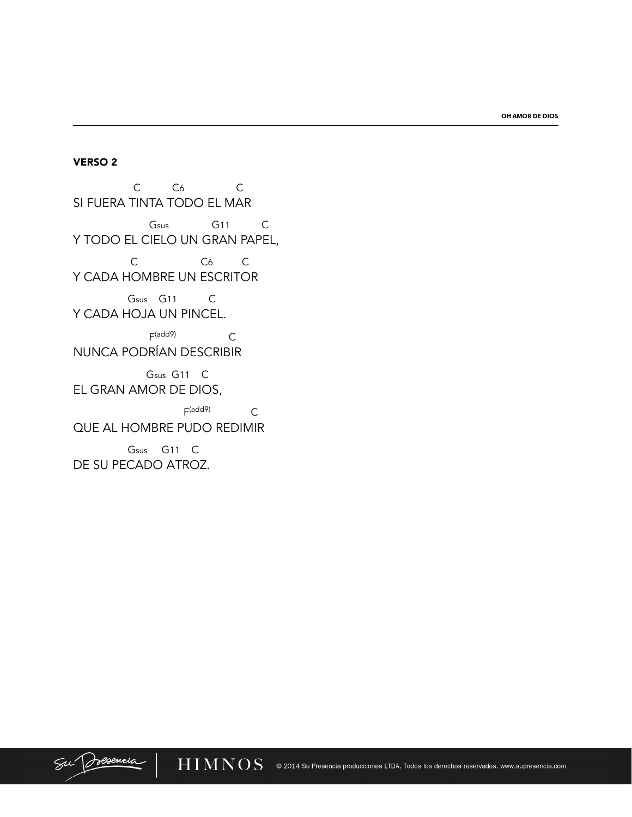OH AMOR DE DIOS

#### **VERSO 2**

 $C$   $C6$   $C$ SI FUERA TINTA TODO EL MAR Gsus G11 C Y TODO EL CIELO UN GRAN PAPEL,  $C6$   $C$  $\mathsf C$ Y CADA HOMBRE UN ESCRITOR Gsus G11 C Y CADA HOJA UN PINCEL.  $F(\text{add9})$   $C$ NUNCA PODRÍAN DESCRIBIR Gsus G11 C EL GRAN AMOR DE DIOS,  $F(add9)$  $\overline{C}$ QUE AL HOMBRE PUDO REDIMIR

Gsus G11 C DE SU PECADO ATROZ.